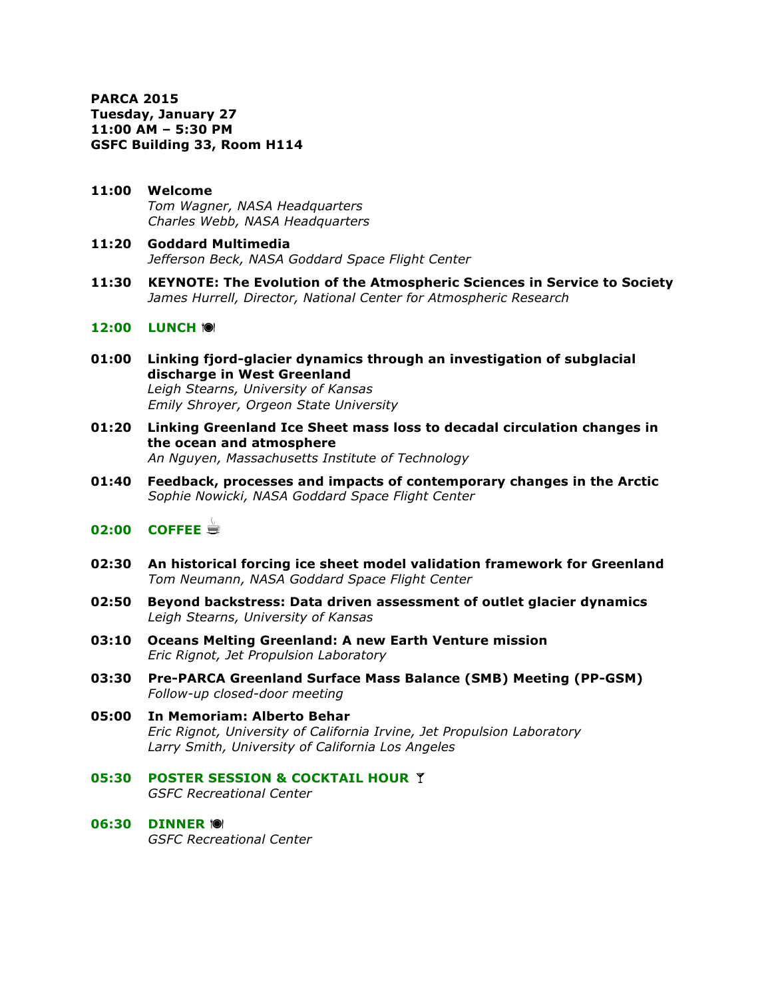**PARCA 2015 Tuesday, January 27 11:00 AM – 5:30 PM GSFC Building 33, Room H114**

- **11:00 Welcome** *Tom Wagner, NASA Headquarters Charles Webb, NASA Headquarters*
- **11:20 Goddard Multimedia** *Jefferson Beck, NASA Goddard Space Flight Center*
- **11:30 KEYNOTE: The Evolution of the Atmospheric Sciences in Service to Society** *James Hurrell, Director, National Center for Atmospheric Research*

### **12:00 LUNCH 101**

- **01:00 Linking fjord-glacier dynamics through an investigation of subglacial discharge in West Greenland** *Leigh Stearns, University of Kansas Emily Shroyer, Orgeon State University*
- **01:20 Linking Greenland Ice Sheet mass loss to decadal circulation changes in the ocean and atmosphere** *An Nguyen, Massachusetts Institute of Technology*
- **01:40 Feedback, processes and impacts of contemporary changes in the Arctic** *Sophie Nowicki, NASA Goddard Space Flight Center*

# **02:00 COFFEE** ☕

- **02:30 An historical forcing ice sheet model validation framework for Greenland** *Tom Neumann, NASA Goddard Space Flight Center*
- **02:50 Beyond backstress: Data driven assessment of outlet glacier dynamics**  *Leigh Stearns, University of Kansas*
- **03:10 Oceans Melting Greenland: A new Earth Venture mission** *Eric Rignot, Jet Propulsion Laboratory*
- **03:30 Pre-PARCA Greenland Surface Mass Balance (SMB) Meeting (PP-GSM)** *Follow-up closed-door meeting*
- **05:00 In Memoriam: Alberto Behar** *Eric Rignot, University of California Irvine, Jet Propulsion Laboratory Larry Smith, University of California Los Angeles*
- **05:30 POSTER SESSION & COCKTAIL HOUR Y** *GSFC Recreational Center*
- **06:30 DINNER** ! *GSFC Recreational Center*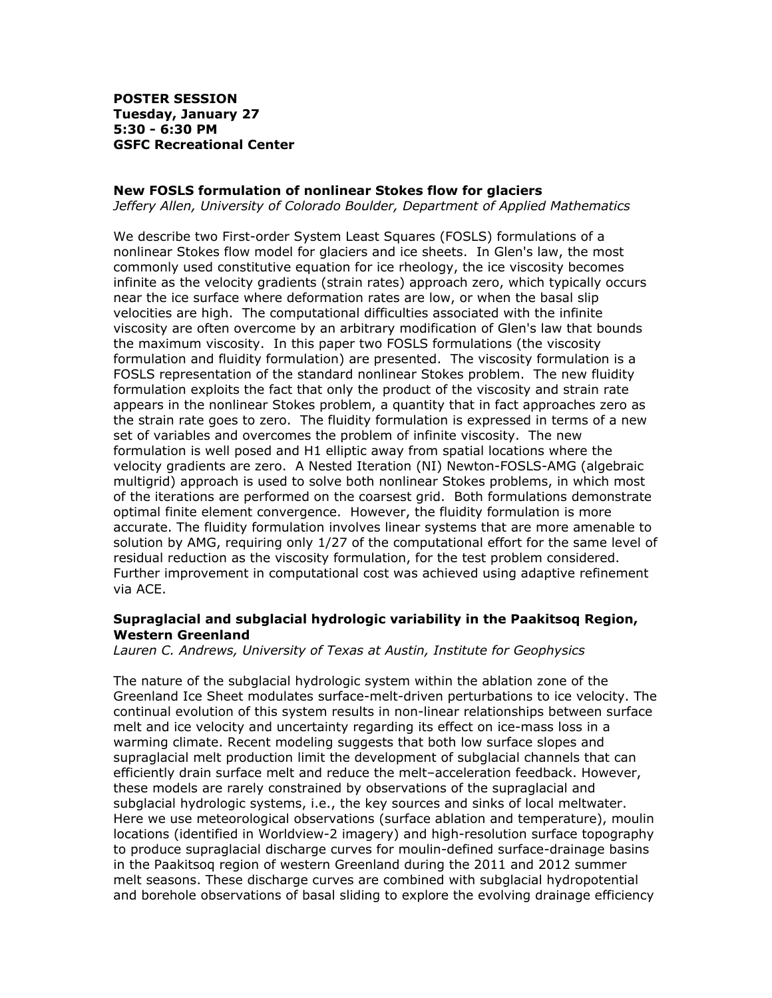**POSTER SESSION Tuesday, January 27 5:30 - 6:30 PM GSFC Recreational Center**

#### **New FOSLS formulation of nonlinear Stokes flow for glaciers**

*Jeffery Allen, University of Colorado Boulder, Department of Applied Mathematics*

We describe two First-order System Least Squares (FOSLS) formulations of a nonlinear Stokes flow model for glaciers and ice sheets. In Glen's law, the most commonly used constitutive equation for ice rheology, the ice viscosity becomes infinite as the velocity gradients (strain rates) approach zero, which typically occurs near the ice surface where deformation rates are low, or when the basal slip velocities are high. The computational difficulties associated with the infinite viscosity are often overcome by an arbitrary modification of Glen's law that bounds the maximum viscosity. In this paper two FOSLS formulations (the viscosity formulation and fluidity formulation) are presented. The viscosity formulation is a FOSLS representation of the standard nonlinear Stokes problem. The new fluidity formulation exploits the fact that only the product of the viscosity and strain rate appears in the nonlinear Stokes problem, a quantity that in fact approaches zero as the strain rate goes to zero. The fluidity formulation is expressed in terms of a new set of variables and overcomes the problem of infinite viscosity. The new formulation is well posed and H1 elliptic away from spatial locations where the velocity gradients are zero. A Nested Iteration (NI) Newton-FOSLS-AMG (algebraic multigrid) approach is used to solve both nonlinear Stokes problems, in which most of the iterations are performed on the coarsest grid. Both formulations demonstrate optimal finite element convergence. However, the fluidity formulation is more accurate. The fluidity formulation involves linear systems that are more amenable to solution by AMG, requiring only 1/27 of the computational effort for the same level of residual reduction as the viscosity formulation, for the test problem considered. Further improvement in computational cost was achieved using adaptive refinement via ACE.

### **Supraglacial and subglacial hydrologic variability in the Paakitsoq Region, Western Greenland**

*Lauren C. Andrews, University of Texas at Austin, Institute for Geophysics*

The nature of the subglacial hydrologic system within the ablation zone of the Greenland Ice Sheet modulates surface-melt-driven perturbations to ice velocity. The continual evolution of this system results in non-linear relationships between surface melt and ice velocity and uncertainty regarding its effect on ice-mass loss in a warming climate. Recent modeling suggests that both low surface slopes and supraglacial melt production limit the development of subglacial channels that can efficiently drain surface melt and reduce the melt–acceleration feedback. However, these models are rarely constrained by observations of the supraglacial and subglacial hydrologic systems, i.e., the key sources and sinks of local meltwater. Here we use meteorological observations (surface ablation and temperature), moulin locations (identified in Worldview-2 imagery) and high-resolution surface topography to produce supraglacial discharge curves for moulin-defined surface-drainage basins in the Paakitsoq region of western Greenland during the 2011 and 2012 summer melt seasons. These discharge curves are combined with subglacial hydropotential and borehole observations of basal sliding to explore the evolving drainage efficiency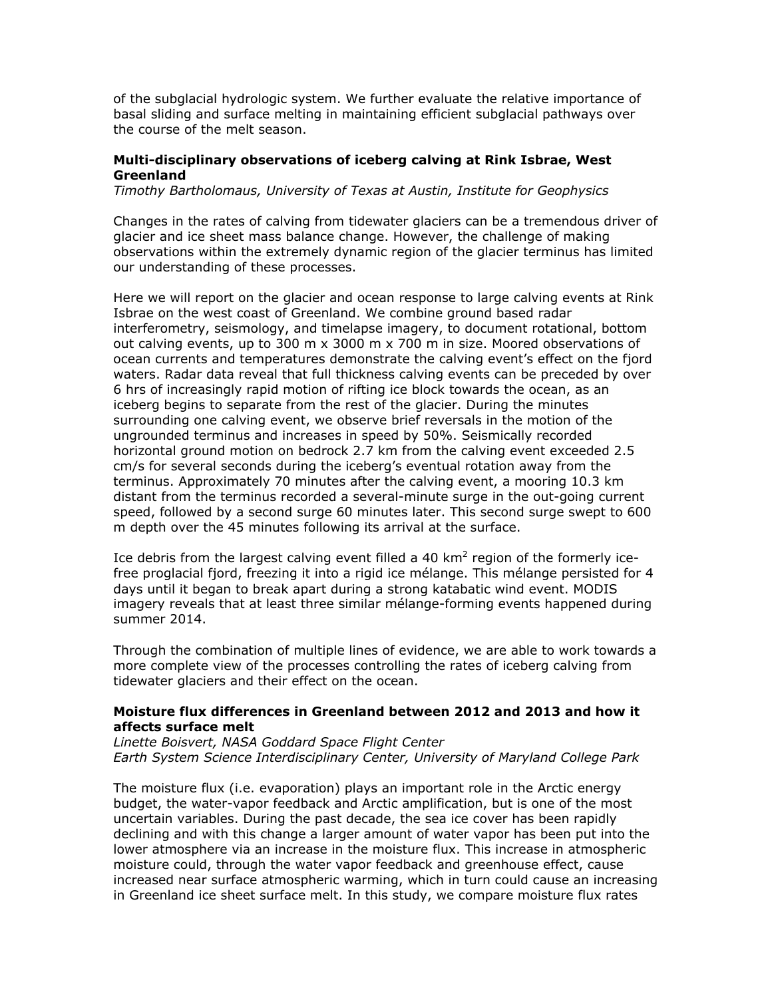of the subglacial hydrologic system. We further evaluate the relative importance of basal sliding and surface melting in maintaining efficient subglacial pathways over the course of the melt season.

### **Multi-disciplinary observations of iceberg calving at Rink Isbrae, West Greenland**

*Timothy Bartholomaus, University of Texas at Austin, Institute for Geophysics*

Changes in the rates of calving from tidewater glaciers can be a tremendous driver of glacier and ice sheet mass balance change. However, the challenge of making observations within the extremely dynamic region of the glacier terminus has limited our understanding of these processes.

Here we will report on the glacier and ocean response to large calving events at Rink Isbrae on the west coast of Greenland. We combine ground based radar interferometry, seismology, and timelapse imagery, to document rotational, bottom out calving events, up to 300 m  $\times$  3000 m  $\times$  700 m in size. Moored observations of ocean currents and temperatures demonstrate the calving event's effect on the fjord waters. Radar data reveal that full thickness calving events can be preceded by over 6 hrs of increasingly rapid motion of rifting ice block towards the ocean, as an iceberg begins to separate from the rest of the glacier. During the minutes surrounding one calving event, we observe brief reversals in the motion of the ungrounded terminus and increases in speed by 50%. Seismically recorded horizontal ground motion on bedrock 2.7 km from the calving event exceeded 2.5 cm/s for several seconds during the iceberg's eventual rotation away from the terminus. Approximately 70 minutes after the calving event, a mooring 10.3 km distant from the terminus recorded a several-minute surge in the out-going current speed, followed by a second surge 60 minutes later. This second surge swept to 600 m depth over the 45 minutes following its arrival at the surface.

Ice debris from the largest calving event filled a 40 km<sup>2</sup> region of the formerly icefree proglacial fjord, freezing it into a rigid ice mélange. This mélange persisted for 4 days until it began to break apart during a strong katabatic wind event. MODIS imagery reveals that at least three similar mélange-forming events happened during summer 2014.

Through the combination of multiple lines of evidence, we are able to work towards a more complete view of the processes controlling the rates of iceberg calving from tidewater glaciers and their effect on the ocean.

#### **Moisture flux differences in Greenland between 2012 and 2013 and how it affects surface melt**

*Linette Boisvert, NASA Goddard Space Flight Center Earth System Science Interdisciplinary Center, University of Maryland College Park*

The moisture flux (i.e. evaporation) plays an important role in the Arctic energy budget, the water-vapor feedback and Arctic amplification, but is one of the most uncertain variables. During the past decade, the sea ice cover has been rapidly declining and with this change a larger amount of water vapor has been put into the lower atmosphere via an increase in the moisture flux. This increase in atmospheric moisture could, through the water vapor feedback and greenhouse effect, cause increased near surface atmospheric warming, which in turn could cause an increasing in Greenland ice sheet surface melt. In this study, we compare moisture flux rates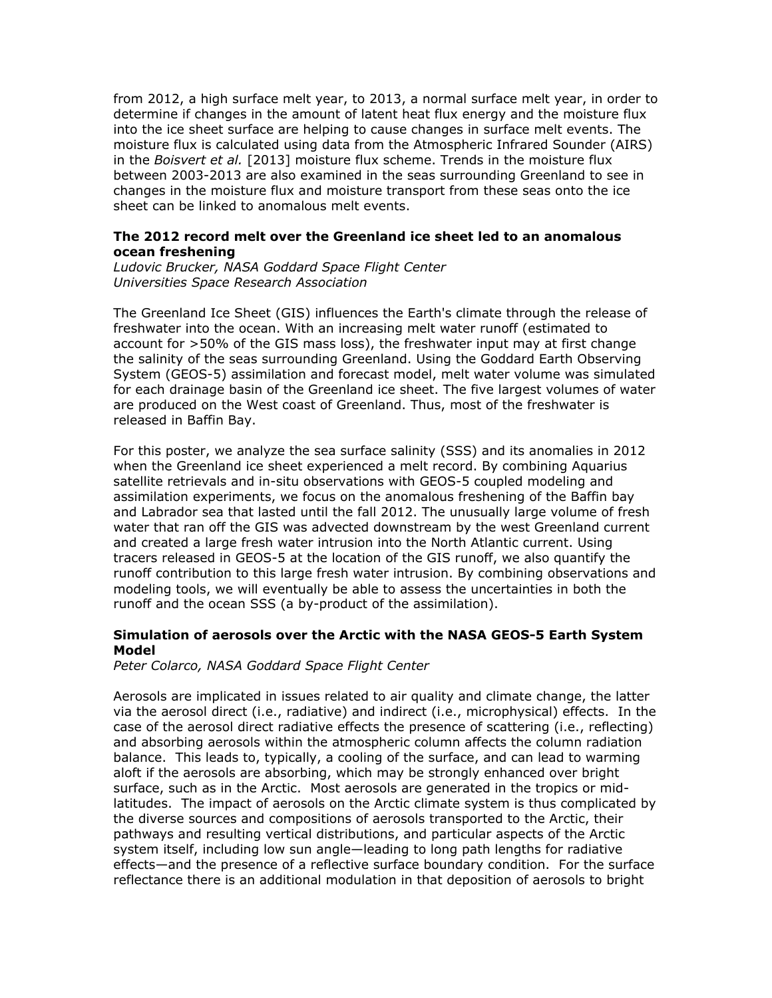from 2012, a high surface melt year, to 2013, a normal surface melt year, in order to determine if changes in the amount of latent heat flux energy and the moisture flux into the ice sheet surface are helping to cause changes in surface melt events. The moisture flux is calculated using data from the Atmospheric Infrared Sounder (AIRS) in the *Boisvert et al.* [2013] moisture flux scheme. Trends in the moisture flux between 2003-2013 are also examined in the seas surrounding Greenland to see in changes in the moisture flux and moisture transport from these seas onto the ice sheet can be linked to anomalous melt events.

### **The 2012 record melt over the Greenland ice sheet led to an anomalous ocean freshening**

*Ludovic Brucker, NASA Goddard Space Flight Center Universities Space Research Association*

The Greenland Ice Sheet (GIS) influences the Earth's climate through the release of freshwater into the ocean. With an increasing melt water runoff (estimated to account for >50% of the GIS mass loss), the freshwater input may at first change the salinity of the seas surrounding Greenland. Using the Goddard Earth Observing System (GEOS-5) assimilation and forecast model, melt water volume was simulated for each drainage basin of the Greenland ice sheet. The five largest volumes of water are produced on the West coast of Greenland. Thus, most of the freshwater is released in Baffin Bay.

For this poster, we analyze the sea surface salinity (SSS) and its anomalies in 2012 when the Greenland ice sheet experienced a melt record. By combining Aquarius satellite retrievals and in-situ observations with GEOS-5 coupled modeling and assimilation experiments, we focus on the anomalous freshening of the Baffin bay and Labrador sea that lasted until the fall 2012. The unusually large volume of fresh water that ran off the GIS was advected downstream by the west Greenland current and created a large fresh water intrusion into the North Atlantic current. Using tracers released in GEOS-5 at the location of the GIS runoff, we also quantify the runoff contribution to this large fresh water intrusion. By combining observations and modeling tools, we will eventually be able to assess the uncertainties in both the runoff and the ocean SSS (a by-product of the assimilation).

### **Simulation of aerosols over the Arctic with the NASA GEOS-5 Earth System Model**

*Peter Colarco, NASA Goddard Space Flight Center*

Aerosols are implicated in issues related to air quality and climate change, the latter via the aerosol direct (i.e., radiative) and indirect (i.e., microphysical) effects. In the case of the aerosol direct radiative effects the presence of scattering (i.e., reflecting) and absorbing aerosols within the atmospheric column affects the column radiation balance. This leads to, typically, a cooling of the surface, and can lead to warming aloft if the aerosols are absorbing, which may be strongly enhanced over bright surface, such as in the Arctic. Most aerosols are generated in the tropics or midlatitudes. The impact of aerosols on the Arctic climate system is thus complicated by the diverse sources and compositions of aerosols transported to the Arctic, their pathways and resulting vertical distributions, and particular aspects of the Arctic system itself, including low sun angle—leading to long path lengths for radiative effects—and the presence of a reflective surface boundary condition. For the surface reflectance there is an additional modulation in that deposition of aerosols to bright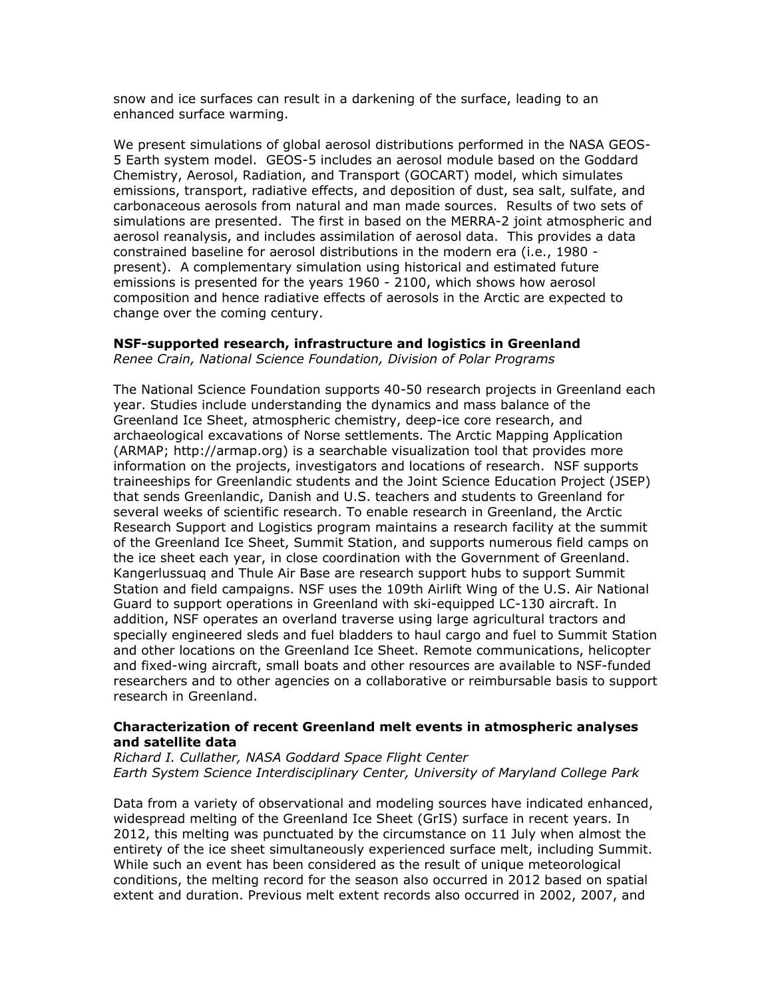snow and ice surfaces can result in a darkening of the surface, leading to an enhanced surface warming.

We present simulations of global aerosol distributions performed in the NASA GEOS-5 Earth system model. GEOS-5 includes an aerosol module based on the Goddard Chemistry, Aerosol, Radiation, and Transport (GOCART) model, which simulates emissions, transport, radiative effects, and deposition of dust, sea salt, sulfate, and carbonaceous aerosols from natural and man made sources. Results of two sets of simulations are presented. The first in based on the MERRA-2 joint atmospheric and aerosol reanalysis, and includes assimilation of aerosol data. This provides a data constrained baseline for aerosol distributions in the modern era (i.e., 1980 present). A complementary simulation using historical and estimated future emissions is presented for the years 1960 - 2100, which shows how aerosol composition and hence radiative effects of aerosols in the Arctic are expected to change over the coming century.

#### **NSF-supported research, infrastructure and logistics in Greenland**

*Renee Crain, National Science Foundation, Division of Polar Programs*

The National Science Foundation supports 40-50 research projects in Greenland each year. Studies include understanding the dynamics and mass balance of the Greenland Ice Sheet, atmospheric chemistry, deep-ice core research, and archaeological excavations of Norse settlements. The Arctic Mapping Application (ARMAP; http://armap.org) is a searchable visualization tool that provides more information on the projects, investigators and locations of research. NSF supports traineeships for Greenlandic students and the Joint Science Education Project (JSEP) that sends Greenlandic, Danish and U.S. teachers and students to Greenland for several weeks of scientific research. To enable research in Greenland, the Arctic Research Support and Logistics program maintains a research facility at the summit of the Greenland Ice Sheet, Summit Station, and supports numerous field camps on the ice sheet each year, in close coordination with the Government of Greenland. Kangerlussuaq and Thule Air Base are research support hubs to support Summit Station and field campaigns. NSF uses the 109th Airlift Wing of the U.S. Air National Guard to support operations in Greenland with ski-equipped LC-130 aircraft. In addition, NSF operates an overland traverse using large agricultural tractors and specially engineered sleds and fuel bladders to haul cargo and fuel to Summit Station and other locations on the Greenland Ice Sheet. Remote communications, helicopter and fixed-wing aircraft, small boats and other resources are available to NSF-funded researchers and to other agencies on a collaborative or reimbursable basis to support research in Greenland.

### **Characterization of recent Greenland melt events in atmospheric analyses and satellite data**

*Richard I. Cullather, NASA Goddard Space Flight Center Earth System Science Interdisciplinary Center, University of Maryland College Park*

Data from a variety of observational and modeling sources have indicated enhanced, widespread melting of the Greenland Ice Sheet (GrIS) surface in recent years. In 2012, this melting was punctuated by the circumstance on 11 July when almost the entirety of the ice sheet simultaneously experienced surface melt, including Summit. While such an event has been considered as the result of unique meteorological conditions, the melting record for the season also occurred in 2012 based on spatial extent and duration. Previous melt extent records also occurred in 2002, 2007, and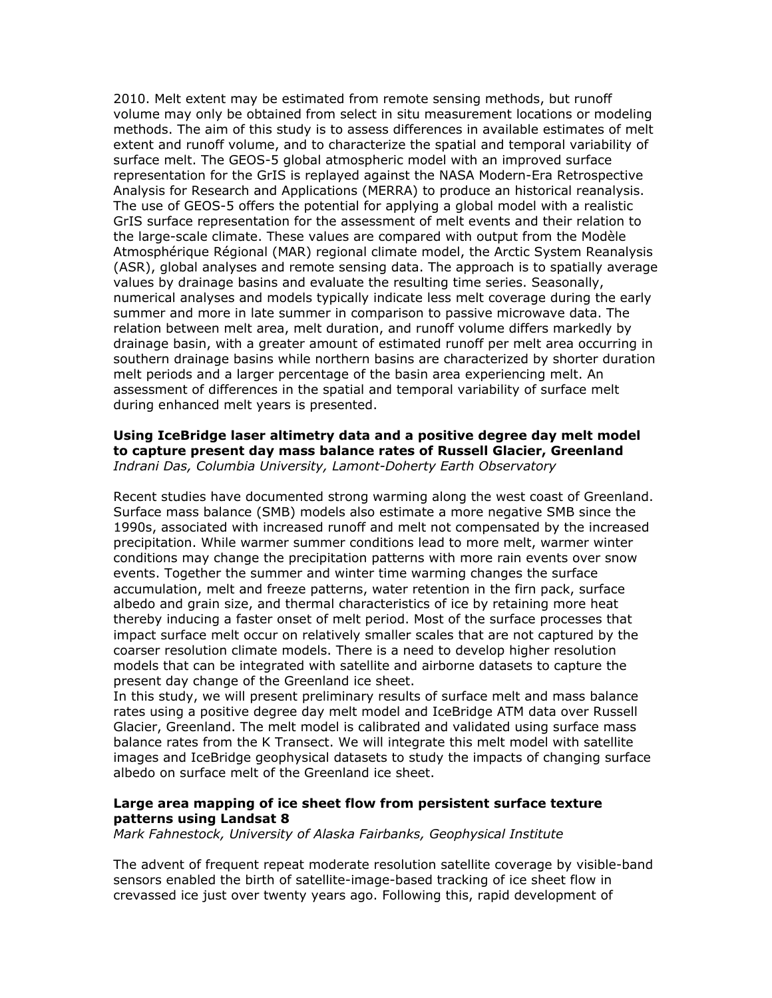2010. Melt extent may be estimated from remote sensing methods, but runoff volume may only be obtained from select in situ measurement locations or modeling methods. The aim of this study is to assess differences in available estimates of melt extent and runoff volume, and to characterize the spatial and temporal variability of surface melt. The GEOS-5 global atmospheric model with an improved surface representation for the GrIS is replayed against the NASA Modern-Era Retrospective Analysis for Research and Applications (MERRA) to produce an historical reanalysis. The use of GEOS-5 offers the potential for applying a global model with a realistic GrIS surface representation for the assessment of melt events and their relation to the large-scale climate. These values are compared with output from the Modèle Atmosphérique Régional (MAR) regional climate model, the Arctic System Reanalysis (ASR), global analyses and remote sensing data. The approach is to spatially average values by drainage basins and evaluate the resulting time series. Seasonally, numerical analyses and models typically indicate less melt coverage during the early summer and more in late summer in comparison to passive microwave data. The relation between melt area, melt duration, and runoff volume differs markedly by drainage basin, with a greater amount of estimated runoff per melt area occurring in southern drainage basins while northern basins are characterized by shorter duration melt periods and a larger percentage of the basin area experiencing melt. An assessment of differences in the spatial and temporal variability of surface melt during enhanced melt years is presented.

#### **Using IceBridge laser altimetry data and a positive degree day melt model to capture present day mass balance rates of Russell Glacier, Greenland** *Indrani Das, Columbia University, Lamont-Doherty Earth Observatory*

Recent studies have documented strong warming along the west coast of Greenland. Surface mass balance (SMB) models also estimate a more negative SMB since the 1990s, associated with increased runoff and melt not compensated by the increased precipitation. While warmer summer conditions lead to more melt, warmer winter conditions may change the precipitation patterns with more rain events over snow events. Together the summer and winter time warming changes the surface accumulation, melt and freeze patterns, water retention in the firn pack, surface albedo and grain size, and thermal characteristics of ice by retaining more heat thereby inducing a faster onset of melt period. Most of the surface processes that impact surface melt occur on relatively smaller scales that are not captured by the coarser resolution climate models. There is a need to develop higher resolution models that can be integrated with satellite and airborne datasets to capture the present day change of the Greenland ice sheet.

In this study, we will present preliminary results of surface melt and mass balance rates using a positive degree day melt model and IceBridge ATM data over Russell Glacier, Greenland. The melt model is calibrated and validated using surface mass balance rates from the K Transect. We will integrate this melt model with satellite images and IceBridge geophysical datasets to study the impacts of changing surface albedo on surface melt of the Greenland ice sheet.

# **Large area mapping of ice sheet flow from persistent surface texture patterns using Landsat 8**

*Mark Fahnestock, University of Alaska Fairbanks, Geophysical Institute*

The advent of frequent repeat moderate resolution satellite coverage by visible-band sensors enabled the birth of satellite-image-based tracking of ice sheet flow in crevassed ice just over twenty years ago. Following this, rapid development of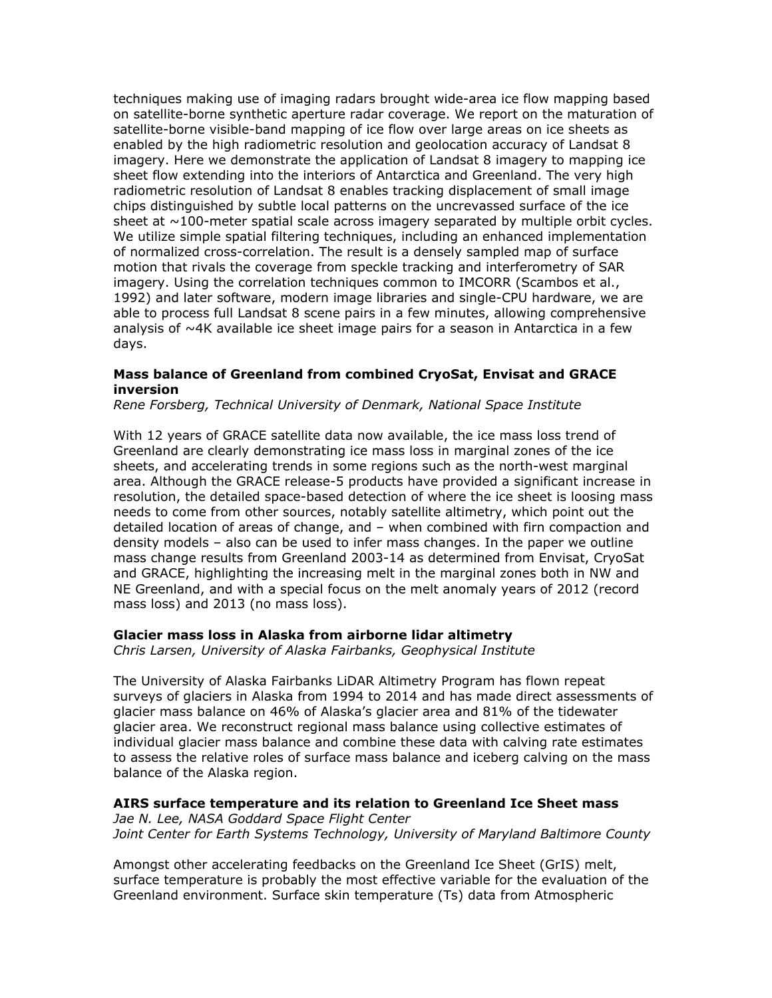techniques making use of imaging radars brought wide-area ice flow mapping based on satellite-borne synthetic aperture radar coverage. We report on the maturation of satellite-borne visible-band mapping of ice flow over large areas on ice sheets as enabled by the high radiometric resolution and geolocation accuracy of Landsat 8 imagery. Here we demonstrate the application of Landsat 8 imagery to mapping ice sheet flow extending into the interiors of Antarctica and Greenland. The very high radiometric resolution of Landsat 8 enables tracking displacement of small image chips distinguished by subtle local patterns on the uncrevassed surface of the ice sheet at  $\sim$ 100-meter spatial scale across imagery separated by multiple orbit cycles. We utilize simple spatial filtering techniques, including an enhanced implementation of normalized cross-correlation. The result is a densely sampled map of surface motion that rivals the coverage from speckle tracking and interferometry of SAR imagery. Using the correlation techniques common to IMCORR (Scambos et al., 1992) and later software, modern image libraries and single-CPU hardware, we are able to process full Landsat 8 scene pairs in a few minutes, allowing comprehensive analysis of  $\sim$ 4K available ice sheet image pairs for a season in Antarctica in a few days.

#### **Mass balance of Greenland from combined CryoSat, Envisat and GRACE inversion**

*Rene Forsberg, Technical University of Denmark, National Space Institute*

With 12 years of GRACE satellite data now available, the ice mass loss trend of Greenland are clearly demonstrating ice mass loss in marginal zones of the ice sheets, and accelerating trends in some regions such as the north-west marginal area. Although the GRACE release-5 products have provided a significant increase in resolution, the detailed space-based detection of where the ice sheet is loosing mass needs to come from other sources, notably satellite altimetry, which point out the detailed location of areas of change, and – when combined with firn compaction and density models – also can be used to infer mass changes. In the paper we outline mass change results from Greenland 2003-14 as determined from Envisat, CryoSat and GRACE, highlighting the increasing melt in the marginal zones both in NW and NE Greenland, and with a special focus on the melt anomaly years of 2012 (record mass loss) and 2013 (no mass loss).

#### **Glacier mass loss in Alaska from airborne lidar altimetry**

*Chris Larsen, University of Alaska Fairbanks, Geophysical Institute*

The University of Alaska Fairbanks LiDAR Altimetry Program has flown repeat surveys of glaciers in Alaska from 1994 to 2014 and has made direct assessments of glacier mass balance on 46% of Alaska's glacier area and 81% of the tidewater glacier area. We reconstruct regional mass balance using collective estimates of individual glacier mass balance and combine these data with calving rate estimates to assess the relative roles of surface mass balance and iceberg calving on the mass balance of the Alaska region.

### **AIRS surface temperature and its relation to Greenland Ice Sheet mass**

*Jae N. Lee, NASA Goddard Space Flight Center Joint Center for Earth Systems Technology, University of Maryland Baltimore County*

Amongst other accelerating feedbacks on the Greenland Ice Sheet (GrIS) melt, surface temperature is probably the most effective variable for the evaluation of the Greenland environment. Surface skin temperature (Ts) data from Atmospheric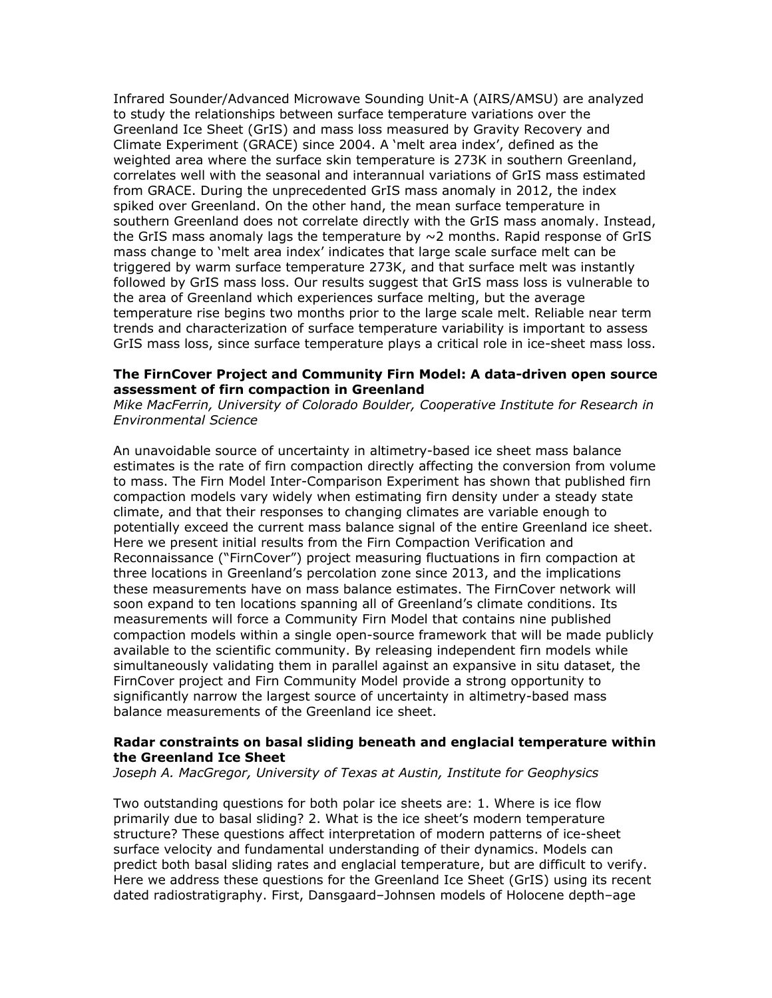Infrared Sounder/Advanced Microwave Sounding Unit-A (AIRS/AMSU) are analyzed to study the relationships between surface temperature variations over the Greenland Ice Sheet (GrIS) and mass loss measured by Gravity Recovery and Climate Experiment (GRACE) since 2004. A 'melt area index', defined as the weighted area where the surface skin temperature is 273K in southern Greenland, correlates well with the seasonal and interannual variations of GrIS mass estimated from GRACE. During the unprecedented GrIS mass anomaly in 2012, the index spiked over Greenland. On the other hand, the mean surface temperature in southern Greenland does not correlate directly with the GrIS mass anomaly. Instead, the GrIS mass anomaly lags the temperature by  $\sim$ 2 months. Rapid response of GrIS mass change to 'melt area index' indicates that large scale surface melt can be triggered by warm surface temperature 273K, and that surface melt was instantly followed by GrIS mass loss. Our results suggest that GrIS mass loss is vulnerable to the area of Greenland which experiences surface melting, but the average temperature rise begins two months prior to the large scale melt. Reliable near term trends and characterization of surface temperature variability is important to assess GrIS mass loss, since surface temperature plays a critical role in ice-sheet mass loss.

#### **The FirnCover Project and Community Firn Model: A data-driven open source assessment of firn compaction in Greenland**

*Mike MacFerrin, University of Colorado Boulder, Cooperative Institute for Research in Environmental Science*

An unavoidable source of uncertainty in altimetry-based ice sheet mass balance estimates is the rate of firn compaction directly affecting the conversion from volume to mass. The Firn Model Inter-Comparison Experiment has shown that published firn compaction models vary widely when estimating firn density under a steady state climate, and that their responses to changing climates are variable enough to potentially exceed the current mass balance signal of the entire Greenland ice sheet. Here we present initial results from the Firn Compaction Verification and Reconnaissance ("FirnCover") project measuring fluctuations in firn compaction at three locations in Greenland's percolation zone since 2013, and the implications these measurements have on mass balance estimates. The FirnCover network will soon expand to ten locations spanning all of Greenland's climate conditions. Its measurements will force a Community Firn Model that contains nine published compaction models within a single open-source framework that will be made publicly available to the scientific community. By releasing independent firn models while simultaneously validating them in parallel against an expansive in situ dataset, the FirnCover project and Firn Community Model provide a strong opportunity to significantly narrow the largest source of uncertainty in altimetry-based mass balance measurements of the Greenland ice sheet.

#### **Radar constraints on basal sliding beneath and englacial temperature within the Greenland Ice Sheet**

*Joseph A. MacGregor, University of Texas at Austin, Institute for Geophysics*

Two outstanding questions for both polar ice sheets are: 1. Where is ice flow primarily due to basal sliding? 2. What is the ice sheet's modern temperature structure? These questions affect interpretation of modern patterns of ice-sheet surface velocity and fundamental understanding of their dynamics. Models can predict both basal sliding rates and englacial temperature, but are difficult to verify. Here we address these questions for the Greenland Ice Sheet (GrIS) using its recent dated radiostratigraphy. First, Dansgaard–Johnsen models of Holocene depth–age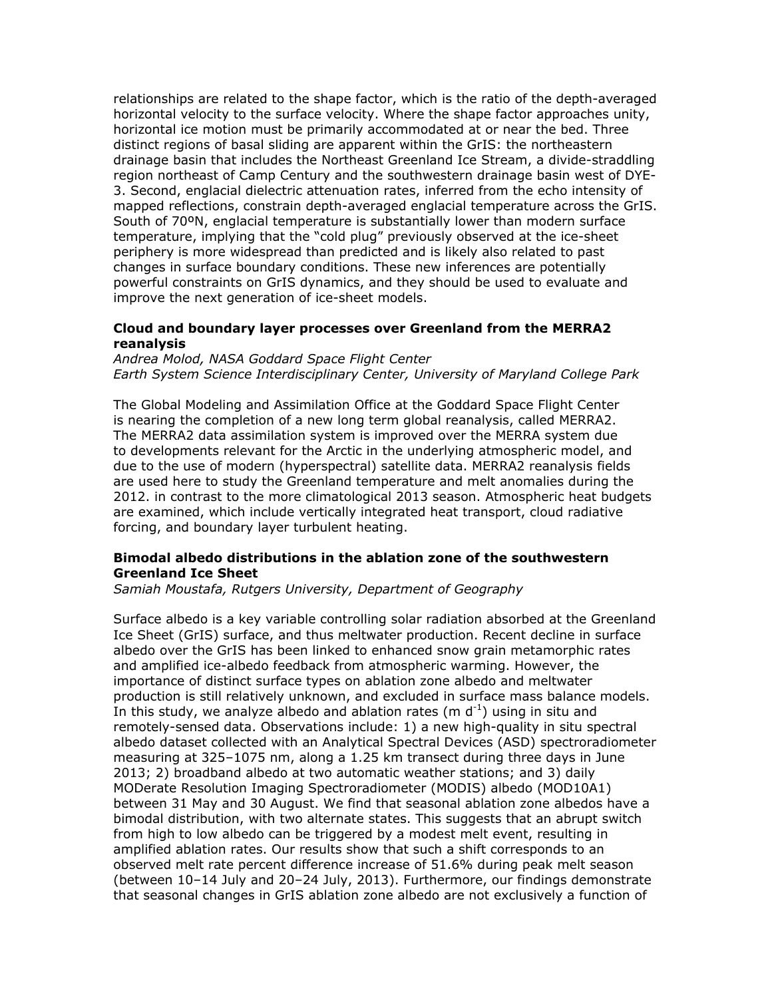relationships are related to the shape factor, which is the ratio of the depth-averaged horizontal velocity to the surface velocity. Where the shape factor approaches unity, horizontal ice motion must be primarily accommodated at or near the bed. Three distinct regions of basal sliding are apparent within the GrIS: the northeastern drainage basin that includes the Northeast Greenland Ice Stream, a divide-straddling region northeast of Camp Century and the southwestern drainage basin west of DYE-3. Second, englacial dielectric attenuation rates, inferred from the echo intensity of mapped reflections, constrain depth-averaged englacial temperature across the GrIS. South of 70ºN, englacial temperature is substantially lower than modern surface temperature, implying that the "cold plug" previously observed at the ice-sheet periphery is more widespread than predicted and is likely also related to past changes in surface boundary conditions. These new inferences are potentially powerful constraints on GrIS dynamics, and they should be used to evaluate and improve the next generation of ice-sheet models.

### **Cloud and boundary layer processes over Greenland from the MERRA2 reanalysis**

*Andrea Molod, NASA Goddard Space Flight Center Earth System Science Interdisciplinary Center, University of Maryland College Park*

The Global Modeling and Assimilation Office at the Goddard Space Flight Center is nearing the completion of a new long term global reanalysis, called MERRA2. The MERRA2 data assimilation system is improved over the MERRA system due to developments relevant for the Arctic in the underlying atmospheric model, and due to the use of modern (hyperspectral) satellite data. MERRA2 reanalysis fields are used here to study the Greenland temperature and melt anomalies during the 2012. in contrast to the more climatological 2013 season. Atmospheric heat budgets are examined, which include vertically integrated heat transport, cloud radiative forcing, and boundary layer turbulent heating.

### **Bimodal albedo distributions in the ablation zone of the southwestern Greenland Ice Sheet**

*Samiah Moustafa, Rutgers University, Department of Geography*

Surface albedo is a key variable controlling solar radiation absorbed at the Greenland Ice Sheet (GrIS) surface, and thus meltwater production. Recent decline in surface albedo over the GrIS has been linked to enhanced snow grain metamorphic rates and amplified ice-albedo feedback from atmospheric warming. However, the importance of distinct surface types on ablation zone albedo and meltwater production is still relatively unknown, and excluded in surface mass balance models. In this study, we analyze albedo and ablation rates (m  $d^{-1}$ ) using in situ and remotely-sensed data. Observations include: 1) a new high-quality in situ spectral albedo dataset collected with an Analytical Spectral Devices (ASD) spectroradiometer measuring at 325–1075 nm, along a 1.25 km transect during three days in June 2013; 2) broadband albedo at two automatic weather stations; and 3) daily MODerate Resolution Imaging Spectroradiometer (MODIS) albedo (MOD10A1) between 31 May and 30 August. We find that seasonal ablation zone albedos have a bimodal distribution, with two alternate states. This suggests that an abrupt switch from high to low albedo can be triggered by a modest melt event, resulting in amplified ablation rates. Our results show that such a shift corresponds to an observed melt rate percent difference increase of 51.6% during peak melt season (between 10–14 July and 20–24 July, 2013). Furthermore, our findings demonstrate that seasonal changes in GrIS ablation zone albedo are not exclusively a function of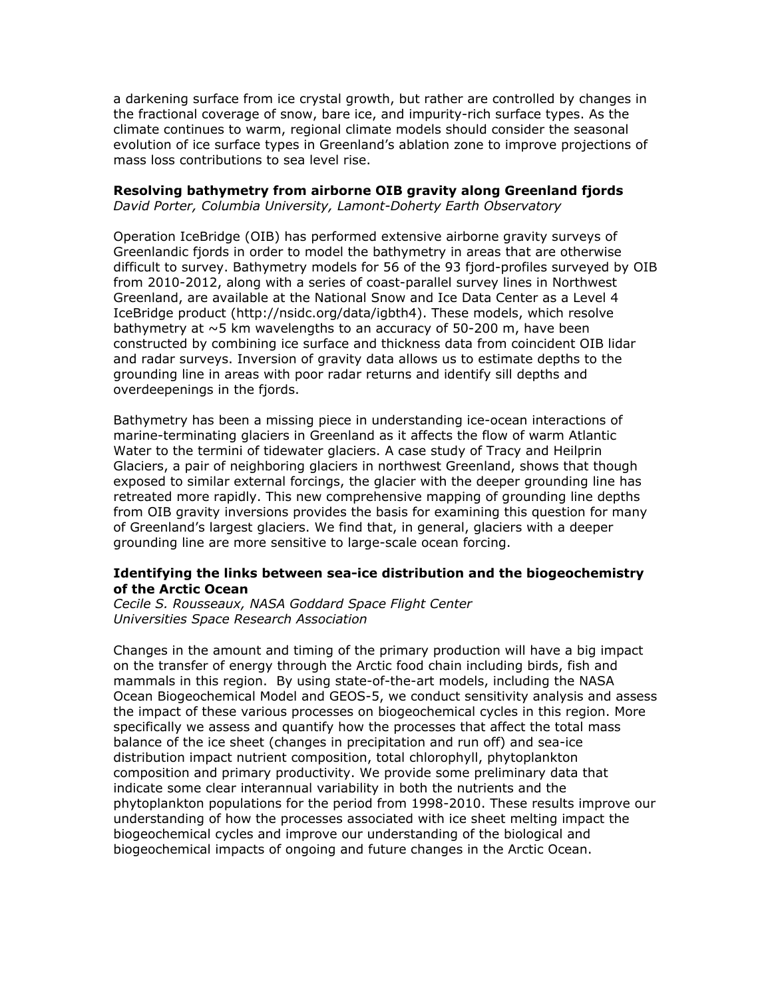a darkening surface from ice crystal growth, but rather are controlled by changes in the fractional coverage of snow, bare ice, and impurity-rich surface types. As the climate continues to warm, regional climate models should consider the seasonal evolution of ice surface types in Greenland's ablation zone to improve projections of mass loss contributions to sea level rise.

#### **Resolving bathymetry from airborne OIB gravity along Greenland fjords**

*David Porter, Columbia University, Lamont-Doherty Earth Observatory*

Operation IceBridge (OIB) has performed extensive airborne gravity surveys of Greenlandic fjords in order to model the bathymetry in areas that are otherwise difficult to survey. Bathymetry models for 56 of the 93 fjord-profiles surveyed by OIB from 2010-2012, along with a series of coast-parallel survey lines in Northwest Greenland, are available at the National Snow and Ice Data Center as a Level 4 IceBridge product (http://nsidc.org/data/igbth4). These models, which resolve bathymetry at  $\sim$ 5 km wavelengths to an accuracy of 50-200 m, have been constructed by combining ice surface and thickness data from coincident OIB lidar and radar surveys. Inversion of gravity data allows us to estimate depths to the grounding line in areas with poor radar returns and identify sill depths and overdeepenings in the fjords.

Bathymetry has been a missing piece in understanding ice-ocean interactions of marine-terminating glaciers in Greenland as it affects the flow of warm Atlantic Water to the termini of tidewater glaciers. A case study of Tracy and Heilprin Glaciers, a pair of neighboring glaciers in northwest Greenland, shows that though exposed to similar external forcings, the glacier with the deeper grounding line has retreated more rapidly. This new comprehensive mapping of grounding line depths from OIB gravity inversions provides the basis for examining this question for many of Greenland's largest glaciers. We find that, in general, glaciers with a deeper grounding line are more sensitive to large-scale ocean forcing.

### **Identifying the links between sea-ice distribution and the biogeochemistry of the Arctic Ocean**

*Cecile S. Rousseaux, NASA Goddard Space Flight Center Universities Space Research Association*

Changes in the amount and timing of the primary production will have a big impact on the transfer of energy through the Arctic food chain including birds, fish and mammals in this region. By using state-of-the-art models, including the NASA Ocean Biogeochemical Model and GEOS-5, we conduct sensitivity analysis and assess the impact of these various processes on biogeochemical cycles in this region. More specifically we assess and quantify how the processes that affect the total mass balance of the ice sheet (changes in precipitation and run off) and sea-ice distribution impact nutrient composition, total chlorophyll, phytoplankton composition and primary productivity. We provide some preliminary data that indicate some clear interannual variability in both the nutrients and the phytoplankton populations for the period from 1998-2010. These results improve our understanding of how the processes associated with ice sheet melting impact the biogeochemical cycles and improve our understanding of the biological and biogeochemical impacts of ongoing and future changes in the Arctic Ocean.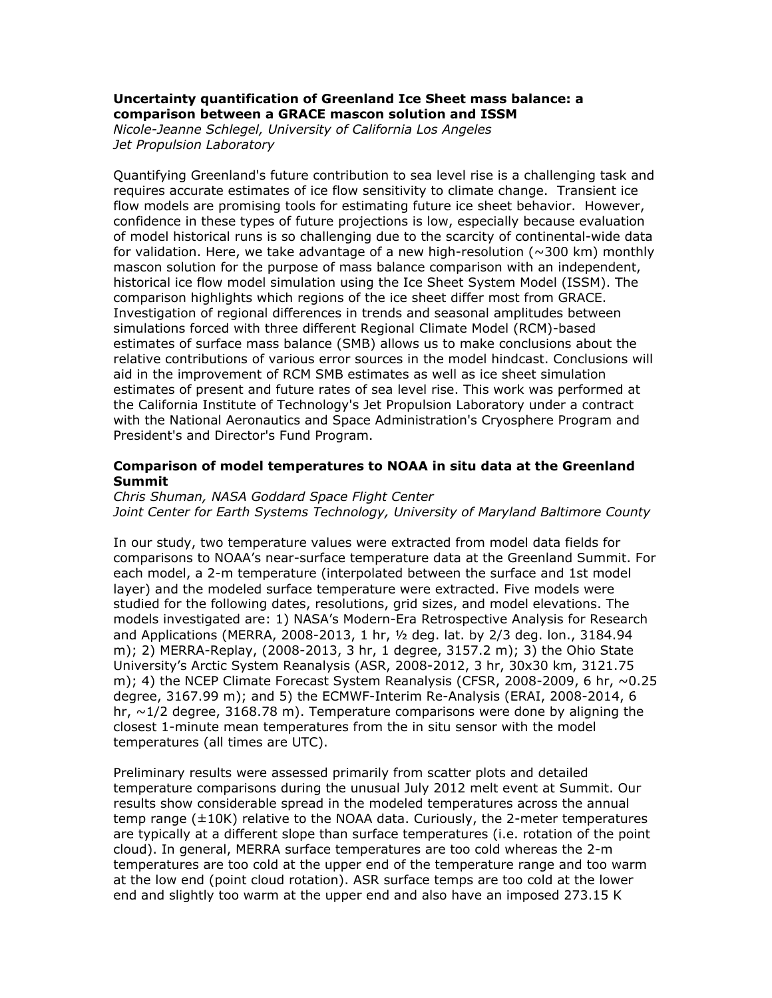# **Uncertainty quantification of Greenland Ice Sheet mass balance: a comparison between a GRACE mascon solution and ISSM**

*Nicole-Jeanne Schlegel, University of California Los Angeles Jet Propulsion Laboratory*

Quantifying Greenland's future contribution to sea level rise is a challenging task and requires accurate estimates of ice flow sensitivity to climate change. Transient ice flow models are promising tools for estimating future ice sheet behavior. However, confidence in these types of future projections is low, especially because evaluation of model historical runs is so challenging due to the scarcity of continental-wide data for validation. Here, we take advantage of a new high-resolution  $(\sim]300$  km) monthly mascon solution for the purpose of mass balance comparison with an independent, historical ice flow model simulation using the Ice Sheet System Model (ISSM). The comparison highlights which regions of the ice sheet differ most from GRACE. Investigation of regional differences in trends and seasonal amplitudes between simulations forced with three different Regional Climate Model (RCM)-based estimates of surface mass balance (SMB) allows us to make conclusions about the relative contributions of various error sources in the model hindcast. Conclusions will aid in the improvement of RCM SMB estimates as well as ice sheet simulation estimates of present and future rates of sea level rise. This work was performed at the California Institute of Technology's Jet Propulsion Laboratory under a contract with the National Aeronautics and Space Administration's Cryosphere Program and President's and Director's Fund Program.

# **Comparison of model temperatures to NOAA in situ data at the Greenland Summit**

*Chris Shuman, NASA Goddard Space Flight Center Joint Center for Earth Systems Technology, University of Maryland Baltimore County*

In our study, two temperature values were extracted from model data fields for comparisons to NOAA's near-surface temperature data at the Greenland Summit. For each model, a 2-m temperature (interpolated between the surface and 1st model layer) and the modeled surface temperature were extracted. Five models were studied for the following dates, resolutions, grid sizes, and model elevations. The models investigated are: 1) NASA's Modern-Era Retrospective Analysis for Research and Applications (MERRA, 2008-2013, 1 hr, ½ deg. lat. by 2/3 deg. lon., 3184.94 m); 2) MERRA-Replay, (2008-2013, 3 hr, 1 degree, 3157.2 m); 3) the Ohio State University's Arctic System Reanalysis (ASR, 2008-2012, 3 hr, 30x30 km, 3121.75 m); 4) the NCEP Climate Forecast System Reanalysis (CFSR, 2008-2009, 6 hr,  $\sim$  0.25 degree, 3167.99 m); and 5) the ECMWF-Interim Re-Analysis (ERAI, 2008-2014, 6 hr,  $\approx$ 1/2 degree, 3168.78 m). Temperature comparisons were done by aligning the closest 1-minute mean temperatures from the in situ sensor with the model temperatures (all times are UTC).

Preliminary results were assessed primarily from scatter plots and detailed temperature comparisons during the unusual July 2012 melt event at Summit. Our results show considerable spread in the modeled temperatures across the annual temp range (±10K) relative to the NOAA data. Curiously, the 2-meter temperatures are typically at a different slope than surface temperatures (i.e. rotation of the point cloud). In general, MERRA surface temperatures are too cold whereas the 2-m temperatures are too cold at the upper end of the temperature range and too warm at the low end (point cloud rotation). ASR surface temps are too cold at the lower end and slightly too warm at the upper end and also have an imposed 273.15 K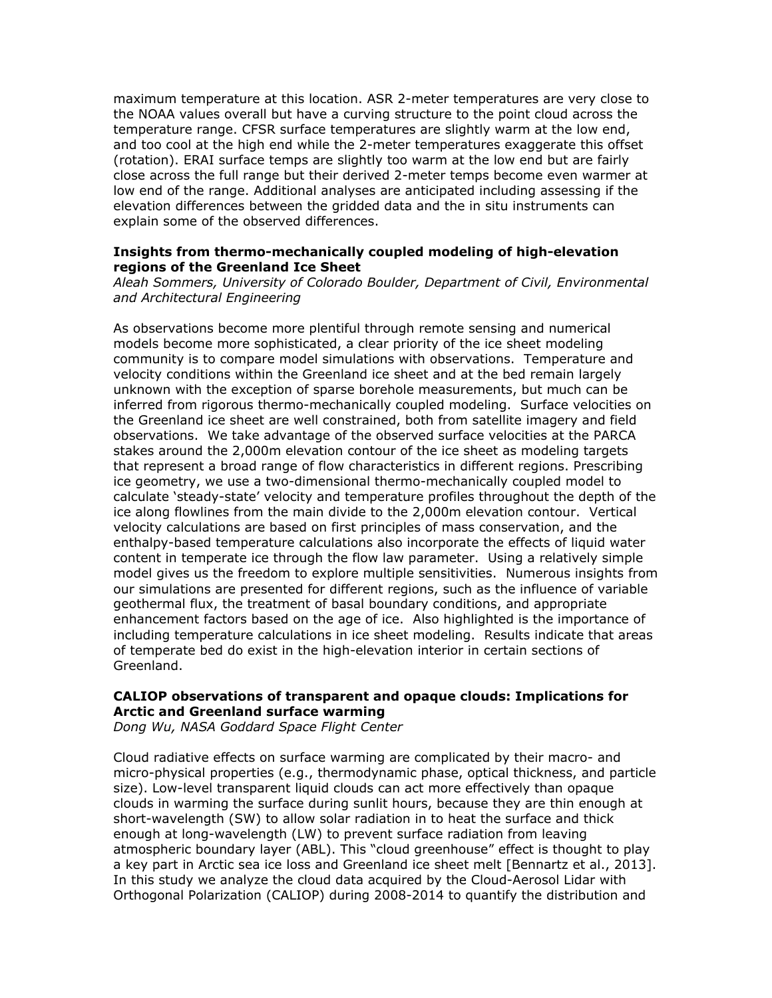maximum temperature at this location. ASR 2-meter temperatures are very close to the NOAA values overall but have a curving structure to the point cloud across the temperature range. CFSR surface temperatures are slightly warm at the low end, and too cool at the high end while the 2-meter temperatures exaggerate this offset (rotation). ERAI surface temps are slightly too warm at the low end but are fairly close across the full range but their derived 2-meter temps become even warmer at low end of the range. Additional analyses are anticipated including assessing if the elevation differences between the gridded data and the in situ instruments can explain some of the observed differences.

#### **Insights from thermo-mechanically coupled modeling of high-elevation regions of the Greenland Ice Sheet**

*Aleah Sommers, University of Colorado Boulder, Department of Civil, Environmental and Architectural Engineering*

As observations become more plentiful through remote sensing and numerical models become more sophisticated, a clear priority of the ice sheet modeling community is to compare model simulations with observations. Temperature and velocity conditions within the Greenland ice sheet and at the bed remain largely unknown with the exception of sparse borehole measurements, but much can be inferred from rigorous thermo-mechanically coupled modeling. Surface velocities on the Greenland ice sheet are well constrained, both from satellite imagery and field observations. We take advantage of the observed surface velocities at the PARCA stakes around the 2,000m elevation contour of the ice sheet as modeling targets that represent a broad range of flow characteristics in different regions. Prescribing ice geometry, we use a two-dimensional thermo-mechanically coupled model to calculate 'steady-state' velocity and temperature profiles throughout the depth of the ice along flowlines from the main divide to the 2,000m elevation contour. Vertical velocity calculations are based on first principles of mass conservation, and the enthalpy-based temperature calculations also incorporate the effects of liquid water content in temperate ice through the flow law parameter. Using a relatively simple model gives us the freedom to explore multiple sensitivities. Numerous insights from our simulations are presented for different regions, such as the influence of variable geothermal flux, the treatment of basal boundary conditions, and appropriate enhancement factors based on the age of ice. Also highlighted is the importance of including temperature calculations in ice sheet modeling. Results indicate that areas of temperate bed do exist in the high-elevation interior in certain sections of Greenland.

### **CALIOP observations of transparent and opaque clouds: Implications for Arctic and Greenland surface warming**

*Dong Wu, NASA Goddard Space Flight Center*

Cloud radiative effects on surface warming are complicated by their macro- and micro-physical properties (e.g., thermodynamic phase, optical thickness, and particle size). Low-level transparent liquid clouds can act more effectively than opaque clouds in warming the surface during sunlit hours, because they are thin enough at short-wavelength (SW) to allow solar radiation in to heat the surface and thick enough at long-wavelength (LW) to prevent surface radiation from leaving atmospheric boundary layer (ABL). This "cloud greenhouse" effect is thought to play a key part in Arctic sea ice loss and Greenland ice sheet melt [Bennartz et al., 2013]. In this study we analyze the cloud data acquired by the Cloud-Aerosol Lidar with Orthogonal Polarization (CALIOP) during 2008-2014 to quantify the distribution and